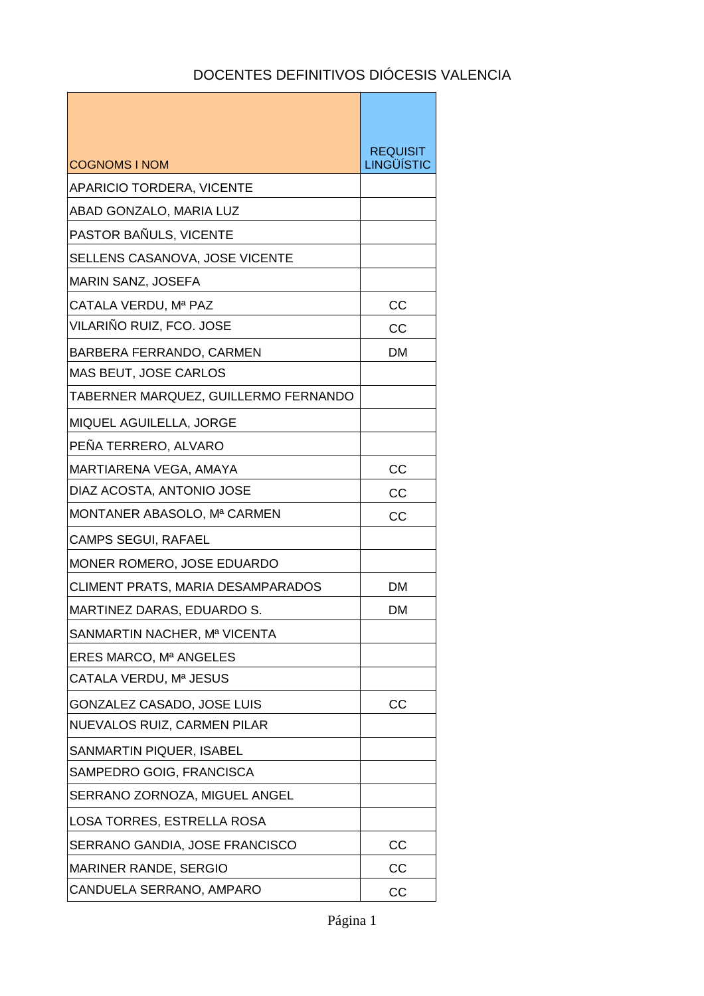h

| <b>COGNOMS I NOM</b>                 | <b>REQUISIT</b><br><b>LINGÜÍSTIC</b> |
|--------------------------------------|--------------------------------------|
| <b>APARICIO TORDERA, VICENTE</b>     |                                      |
| ABAD GONZALO, MARIA LUZ              |                                      |
| PASTOR BAÑULS, VICENTE               |                                      |
| SELLENS CASANOVA, JOSE VICENTE       |                                      |
| <b>MARIN SANZ, JOSEFA</b>            |                                      |
| CATALA VERDU, Mª PAZ                 | CC                                   |
| VILARIÑO RUIZ, FCO. JOSE             | CC                                   |
| BARBERA FERRANDO, CARMEN             | <b>DM</b>                            |
| MAS BEUT, JOSE CARLOS                |                                      |
| TABERNER MARQUEZ, GUILLERMO FERNANDO |                                      |
| MIQUEL AGUILELLA, JORGE              |                                      |
| PEÑA TERRERO, ALVARO                 |                                      |
| MARTIARENA VEGA, AMAYA               | cc                                   |
| DIAZ ACOSTA, ANTONIO JOSE            | CC                                   |
| MONTANER ABASOLO, Mª CARMEN          | CC                                   |
| <b>CAMPS SEGUI, RAFAEL</b>           |                                      |
| MONER ROMERO, JOSE EDUARDO           |                                      |
| CLIMENT PRATS, MARIA DESAMPARADOS    | <b>DM</b>                            |
| MARTINEZ DARAS, EDUARDO S.           | DM                                   |
| SANMARTIN NACHER, Mª VICENTA         |                                      |
| ERES MARCO, Mª ANGELES               |                                      |
| CATALA VERDU, Mª JESUS               |                                      |
| GONZALEZ CASADO, JOSE LUIS           | CC                                   |
| NUEVALOS RUIZ, CARMEN PILAR          |                                      |
| SANMARTIN PIQUER, ISABEL             |                                      |
| SAMPEDRO GOIG, FRANCISCA             |                                      |
| SERRANO ZORNOZA, MIGUEL ANGEL        |                                      |
| LOSA TORRES, ESTRELLA ROSA           |                                      |
| SERRANO GANDIA, JOSE FRANCISCO       | СC                                   |
| <b>MARINER RANDE, SERGIO</b>         | CC                                   |
| CANDUELA SERRANO, AMPARO             | СC                                   |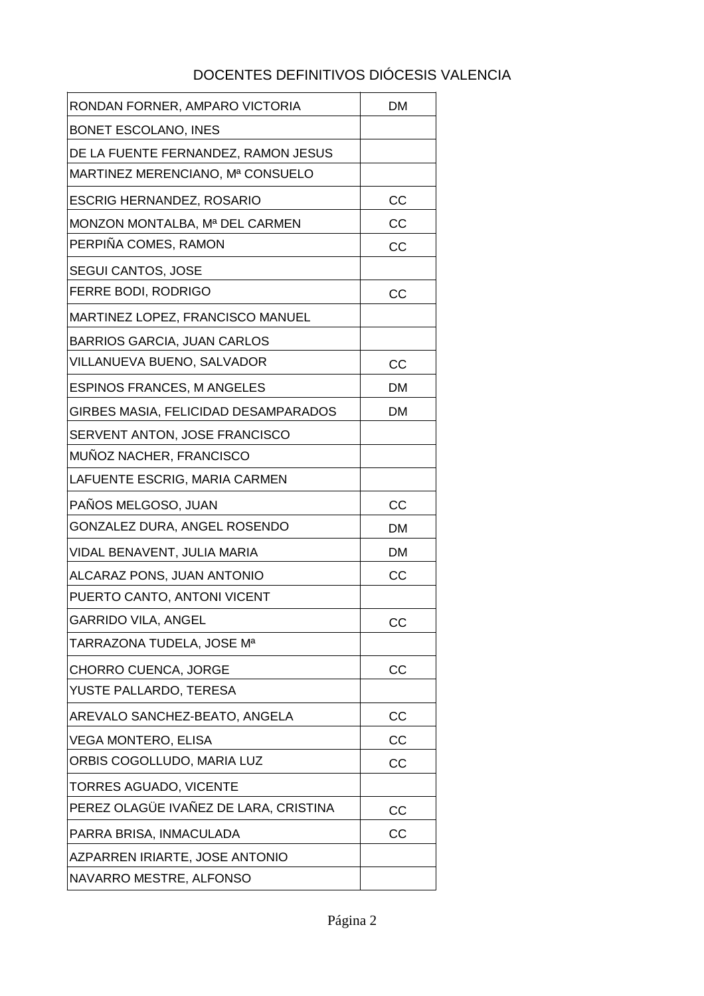| RONDAN FORNER, AMPARO VICTORIA        | <b>DM</b> |
|---------------------------------------|-----------|
| <b>BONET ESCOLANO, INES</b>           |           |
| DE LA FUENTE FERNANDEZ, RAMON JESUS   |           |
| MARTINEZ MERENCIANO, Mª CONSUELO      |           |
| <b>ESCRIG HERNANDEZ, ROSARIO</b>      | CC        |
| MONZON MONTALBA, Mª DEL CARMEN        | CC        |
| PERPIÑA COMES, RAMON                  | <b>CC</b> |
| <b>SEGUI CANTOS, JOSE</b>             |           |
| FERRE BODI, RODRIGO                   | CC        |
| MARTINEZ LOPEZ, FRANCISCO MANUEL      |           |
| <b>BARRIOS GARCIA, JUAN CARLOS</b>    |           |
| VILLANUEVA BUENO, SALVADOR            | CC        |
| <b>ESPINOS FRANCES, M ANGELES</b>     | DM        |
| GIRBES MASIA, FELICIDAD DESAMPARADOS  | DM        |
| SERVENT ANTON, JOSE FRANCISCO         |           |
| MUÑOZ NACHER, FRANCISCO               |           |
| LAFUENTE ESCRIG, MARIA CARMEN         |           |
|                                       |           |
| PAÑOS MELGOSO, JUAN                   | CC        |
| GONZALEZ DURA, ANGEL ROSENDO          | DM        |
| VIDAL BENAVENT, JULIA MARIA           | DM        |
| ALCARAZ PONS, JUAN ANTONIO            | CC        |
| PUERTO CANTO, ANTONI VICENT           |           |
| <b>GARRIDO VILA, ANGEL</b>            | CC        |
| TARRAZONA TUDELA, JOSE Mª             |           |
| CHORRO CUENCA, JORGE                  | CC        |
| YUSTE PALLARDO, TERESA                |           |
| AREVALO SANCHEZ-BEATO, ANGELA         | CC        |
| <b>VEGA MONTERO, ELISA</b>            | CC        |
| ORBIS COGOLLUDO, MARIA LUZ            | СC        |
| TORRES AGUADO, VICENTE                |           |
| PEREZ OLAGÜE IVAÑEZ DE LARA, CRISTINA | CC        |
| PARRA BRISA, INMACULADA               | СC        |
| AZPARREN IRIARTE, JOSE ANTONIO        |           |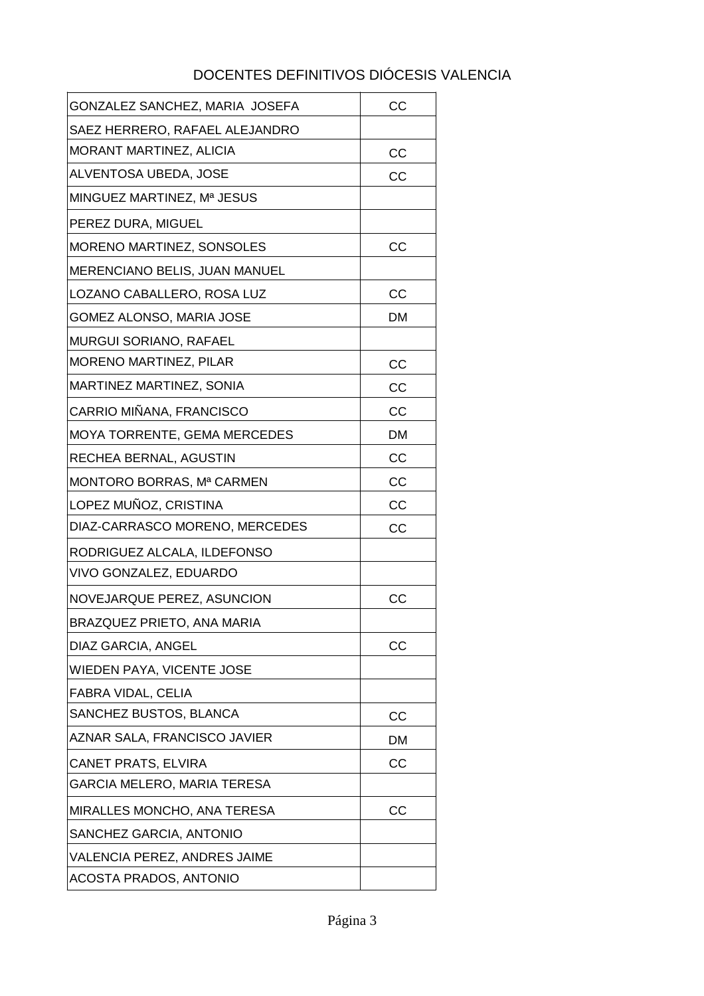| GONZALEZ SANCHEZ, MARIA JOSEFA | CC        |
|--------------------------------|-----------|
| SAEZ HERRERO, RAFAEL ALEJANDRO |           |
| <b>MORANT MARTINEZ, ALICIA</b> | CC        |
| ALVENTOSA UBEDA, JOSE          | CC        |
| MINGUEZ MARTINEZ, Mª JESUS     |           |
| PEREZ DURA, MIGUEL             |           |
| MORENO MARTINEZ, SONSOLES      | cc        |
| MERENCIANO BELIS, JUAN MANUEL  |           |
| LOZANO CABALLERO, ROSA LUZ     | cc        |
| GOMEZ ALONSO, MARIA JOSE       | DM        |
| MURGUI SORIANO, RAFAEL         |           |
| MORENO MARTINEZ, PILAR         | CC        |
| MARTINEZ MARTINEZ, SONIA       | CC        |
| CARRIO MIÑANA, FRANCISCO       | CC        |
| MOYA TORRENTE, GEMA MERCEDES   | <b>DM</b> |
| RECHEA BERNAL, AGUSTIN         | CC        |
| MONTORO BORRAS, Mª CARMEN      | CC        |
| LOPEZ MUÑOZ, CRISTINA          | CC        |
| DIAZ-CARRASCO MORENO, MERCEDES | CC        |
| RODRIGUEZ ALCALA, ILDEFONSO    |           |
| VIVO GONZALEZ, EDUARDO         |           |
| NOVEJARQUE PEREZ, ASUNCION     | CC        |
| BRAZQUEZ PRIETO, ANA MARIA     |           |
| DIAZ GARCIA, ANGEL             | CC        |
| WIEDEN PAYA, VICENTE JOSE      |           |
| FABRA VIDAL, CELIA             |           |
| SANCHEZ BUSTOS, BLANCA         | CC        |
| AZNAR SALA, FRANCISCO JAVIER   | DM        |
| <b>CANET PRATS, ELVIRA</b>     | CC        |
| GARCIA MELERO, MARIA TERESA    |           |
| MIRALLES MONCHO, ANA TERESA    | CC        |
| SANCHEZ GARCIA, ANTONIO        |           |
| VALENCIA PEREZ, ANDRES JAIME   |           |
| <b>ACOSTA PRADOS, ANTONIO</b>  |           |